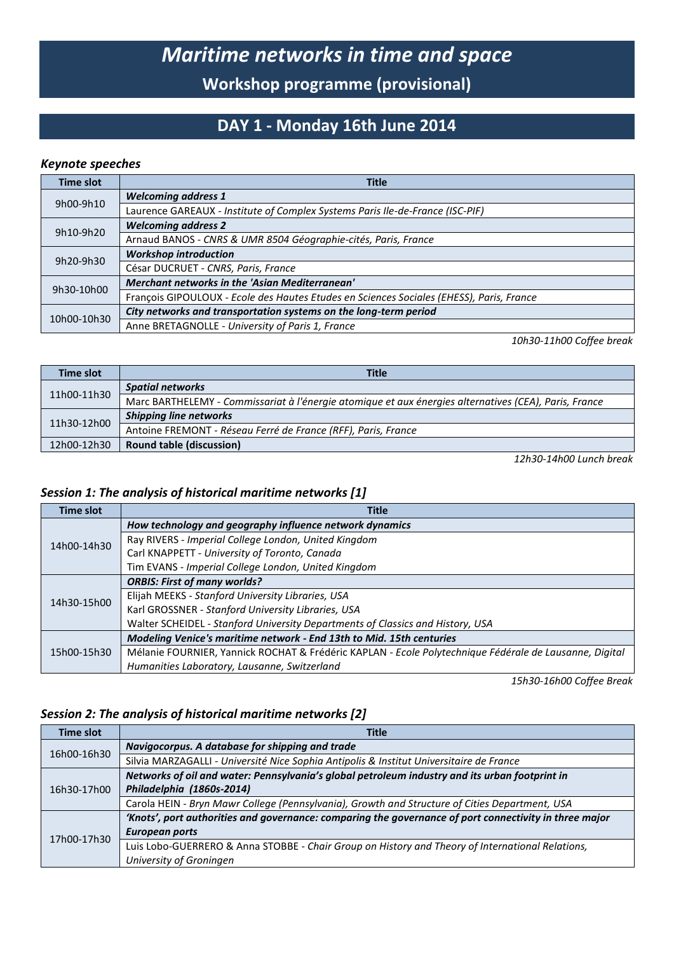# *Maritime networks in time and space*

**Workshop programme (provisional)**

### **DAY 1 - Monday 16th June 2014**

#### *Keynote speeches*

| Time slot   | <b>Title</b>                                                                             |
|-------------|------------------------------------------------------------------------------------------|
| 9h00-9h10   | <b>Welcoming address 1</b>                                                               |
|             | Laurence GAREAUX - Institute of Complex Systems Paris Ile-de-France (ISC-PIF)            |
| 9h10-9h20   | <b>Welcoming address 2</b>                                                               |
|             | Arnaud BANOS - CNRS & UMR 8504 Géographie-cités, Paris, France                           |
| 9h20-9h30   | <b>Workshop introduction</b>                                                             |
|             | César DUCRUET - CNRS, Paris, France                                                      |
| 9h30-10h00  | Merchant networks in the 'Asian Mediterranean'                                           |
|             | François GIPOULOUX - Ecole des Hautes Etudes en Sciences Sociales (EHESS), Paris, France |
| 10h00-10h30 | City networks and transportation systems on the long-term period                         |
|             | Anne BRETAGNOLLE - University of Paris 1, France                                         |

*10h30-11h00 Coffee break*

| <b>Time slot</b> | <b>Title</b>                                                                                          |
|------------------|-------------------------------------------------------------------------------------------------------|
| 11h00-11h30      | <b>Spatial networks</b>                                                                               |
|                  | Marc BARTHELEMY - Commissariat à l'énergie atomique et aux énergies alternatives (CEA), Paris, France |
| 11h30-12h00      | Shipping line networks                                                                                |
|                  | Antoine FREMONT - Réseau Ferré de France (RFF), Paris, France                                         |
| 12h00-12h30      | <b>Round table (discussion)</b>                                                                       |

*12h30-14h00 Lunch break*

#### *Session 1: The analysis of historical maritime networks [1]*

| <b>Time slot</b> | <b>Title</b>                                                                                           |
|------------------|--------------------------------------------------------------------------------------------------------|
| 14h00-14h30      | How technology and geography influence network dynamics                                                |
|                  | Ray RIVERS - Imperial College London, United Kingdom                                                   |
|                  | Carl KNAPPETT - University of Toronto, Canada                                                          |
|                  | Tim EVANS - Imperial College London, United Kingdom                                                    |
|                  | <b>ORBIS: First of many worlds?</b>                                                                    |
| 14h30-15h00      | Elijah MEEKS - Stanford University Libraries, USA                                                      |
|                  | Karl GROSSNER - Stanford University Libraries, USA                                                     |
|                  | Walter SCHEIDEL - Stanford University Departments of Classics and History, USA                         |
| 15h00-15h30      | Modeling Venice's maritime network - End 13th to Mid. 15th centuries                                   |
|                  | Mélanie FOURNIER, Yannick ROCHAT & Frédéric KAPLAN - Ecole Polytechnique Fédérale de Lausanne, Digital |
|                  | Humanities Laboratory, Lausanne, Switzerland                                                           |

*15h30-16h00 Coffee Break*

#### *Session 2: The analysis of historical maritime networks [2]*

| <b>Time slot</b> | <b>Title</b>                                                                                           |
|------------------|--------------------------------------------------------------------------------------------------------|
| 16h00-16h30      | Navigocorpus. A database for shipping and trade                                                        |
|                  | Silvia MARZAGALLI - Université Nice Sophia Antipolis & Institut Universitaire de France                |
|                  | Networks of oil and water: Pennsylvania's global petroleum industry and its urban footprint in         |
| 16h30-17h00      | Philadelphia (1860s-2014)                                                                              |
|                  | Carola HEIN - Bryn Mawr College (Pennsylvania), Growth and Structure of Cities Department, USA         |
| 17h00-17h30      | 'Knots', port authorities and governance: comparing the governance of port connectivity in three major |
|                  | European ports                                                                                         |
|                  | Luis Lobo-GUERRERO & Anna STOBBE - Chair Group on History and Theory of International Relations,       |
|                  | University of Groningen                                                                                |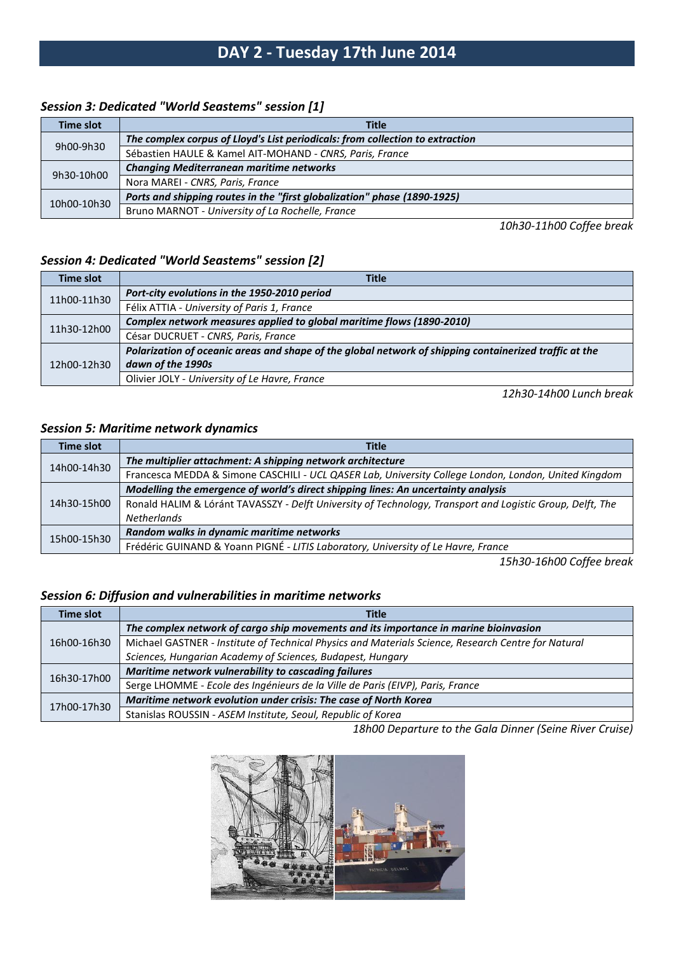### **DAY 2 - Tuesday 17th June 2014**

#### *Session 3: Dedicated "World Seastems" session [1]*

| Time slot   | <b>Title</b>                                                                  |
|-------------|-------------------------------------------------------------------------------|
| 9h00-9h30   | The complex corpus of Lloyd's List periodicals: from collection to extraction |
|             | Sébastien HAULE & Kamel AIT-MOHAND - CNRS, Paris, France                      |
| 9h30-10h00  | <b>Changing Mediterranean maritime networks</b>                               |
|             | Nora MAREI - CNRS, Paris, France                                              |
| 10h00-10h30 | Ports and shipping routes in the "first globalization" phase (1890-1925)      |
|             | Bruno MARNOT - University of La Rochelle, France                              |

*10h30-11h00 Coffee break*

#### *Session 4: Dedicated "World Seastems" session [2]*

| Time slot   | <b>Title</b>                                                                                           |
|-------------|--------------------------------------------------------------------------------------------------------|
| 11h00-11h30 | Port-city evolutions in the 1950-2010 period                                                           |
|             | Félix ATTIA - University of Paris 1, France                                                            |
| 11h30-12h00 | Complex network measures applied to global maritime flows (1890-2010)                                  |
|             | César DUCRUET - CNRS, Paris, France                                                                    |
| 12h00-12h30 | Polarization of oceanic areas and shape of the global network of shipping containerized traffic at the |
|             | dawn of the 1990s                                                                                      |
|             | Olivier JOLY - University of Le Havre, France                                                          |

*12h30-14h00 Lunch break*

#### *Session 5: Maritime network dynamics*

| <b>Time slot</b> | <b>Title</b>                                                                                              |
|------------------|-----------------------------------------------------------------------------------------------------------|
| 14h00-14h30      | The multiplier attachment: A shipping network architecture                                                |
|                  | Francesca MEDDA & Simone CASCHILI - UCL QASER Lab, University College London, London, United Kingdom      |
| 14h30-15h00      | Modelling the emergence of world's direct shipping lines: An uncertainty analysis                         |
|                  | Ronald HALIM & Lóránt TAVASSZY - Delft University of Technology, Transport and Logistic Group, Delft, The |
|                  | <b>Netherlands</b>                                                                                        |
| 15h00-15h30      | Random walks in dynamic maritime networks                                                                 |
|                  | Frédéric GUINAND & Yoann PIGNÉ - LITIS Laboratory, University of Le Havre, France                         |

*15h30-16h00 Coffee break*

#### *Session 6: Diffusion and vulnerabilities in maritime networks*

| Time slot   | Title                                                                                               |
|-------------|-----------------------------------------------------------------------------------------------------|
| 16h00-16h30 | The complex network of cargo ship movements and its importance in marine bioinvasion                |
|             | Michael GASTNER - Institute of Technical Physics and Materials Science, Research Centre for Natural |
|             | Sciences, Hungarian Academy of Sciences, Budapest, Hungary                                          |
| 16h30-17h00 | Maritime network vulnerability to cascading failures                                                |
|             | Serge LHOMME - Ecole des Ingénieurs de la Ville de Paris (EIVP), Paris, France                      |
| 17h00-17h30 | Maritime network evolution under crisis: The case of North Korea                                    |
|             | Stanislas ROUSSIN - ASEM Institute, Seoul, Republic of Korea                                        |

*18h00 Departure to the Gala Dinner (Seine River Cruise)*